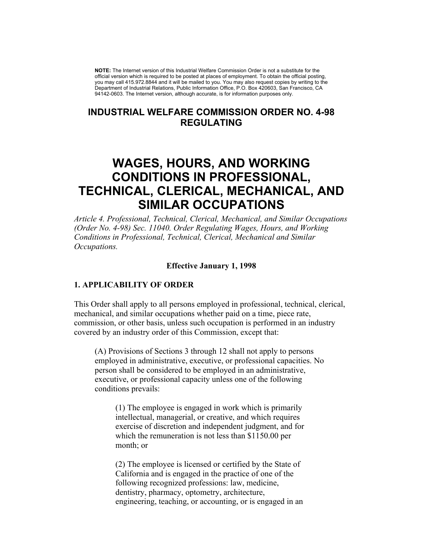**NOTE:** The Internet version of this Industrial Welfare Commission Order is not a substitute for the official version which is required to be posted at places of employment. To obtain the official posting, you may call 415.972.8844 and it will be mailed to you. You may also request copies by writing to the Department of Industrial Relations, Public Information Office, P.O. Box 420603, San Francisco, CA 94142-0603. The Internet version, although accurate, is for information purposes only.

# **INDUSTRIAL WELFARE COMMISSION ORDER NO. 4-98 REGULATING**

# **WAGES, HOURS, AND WORKING CONDITIONS IN PROFESSIONAL, TECHNICAL, CLERICAL, MECHANICAL, AND SIMILAR OCCUPATIONS**

*Article 4. Professional, Technical, Clerical, Mechanical, and Similar Occupations (Order No. 4-98) Sec. 11040. Order Regulating Wages, Hours, and Working Conditions in Professional, Technical, Clerical, Mechanical and Similar Occupations.* 

## **Effective January 1, 1998**

## **1. APPLICABILITY OF ORDER**

This Order shall apply to all persons employed in professional, technical, clerical, mechanical, and similar occupations whether paid on a time, piece rate, commission, or other basis, unless such occupation is performed in an industry covered by an industry order of this Commission, except that:

(A) Provisions of Sections 3 through 12 shall not apply to persons employed in administrative, executive, or professional capacities. No person shall be considered to be employed in an administrative, executive, or professional capacity unless one of the following conditions prevails:

(1) The employee is engaged in work which is primarily intellectual, managerial, or creative, and which requires exercise of discretion and independent judgment, and for which the remuneration is not less than \$1150.00 per month; or

(2) The employee is licensed or certified by the State of California and is engaged in the practice of one of the following recognized professions: law, medicine, dentistry, pharmacy, optometry, architecture, engineering, teaching, or accounting, or is engaged in an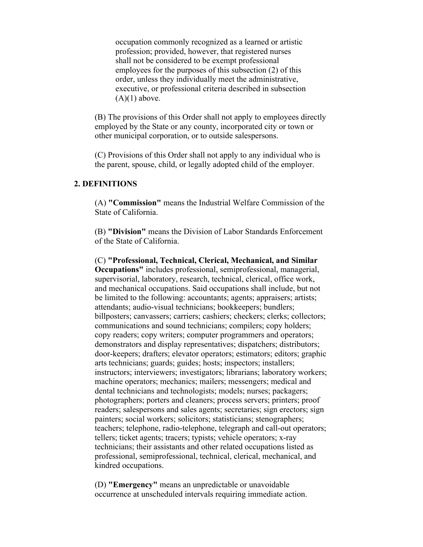occupation commonly recognized as a learned or artistic profession; provided, however, that registered nurses shall not be considered to be exempt professional employees for the purposes of this subsection (2) of this order, unless they individually meet the administrative, executive, or professional criteria described in subsection  $(A)(1)$  above.

(B) The provisions of this Order shall not apply to employees directly employed by the State or any county, incorporated city or town or other municipal corporation, or to outside salespersons.

(C) Provisions of this Order shall not apply to any individual who is the parent, spouse, child, or legally adopted child of the employer.

# **2. DEFINITIONS**

(A) **"Commission"** means the Industrial Welfare Commission of the State of California.

(B) **"Division"** means the Division of Labor Standards Enforcement of the State of California.

(C) **"Professional, Technical, Clerical, Mechanical, and Similar Occupations"** includes professional, semiprofessional, managerial, supervisorial, laboratory, research, technical, clerical, office work, and mechanical occupations. Said occupations shall include, but not be limited to the following: accountants; agents; appraisers; artists; attendants; audio-visual technicians; bookkeepers; bundlers; billposters; canvassers; carriers; cashiers; checkers; clerks; collectors; communications and sound technicians; compilers; copy holders; copy readers; copy writers; computer programmers and operators; demonstrators and display representatives; dispatchers; distributors; door-keepers; drafters; elevator operators; estimators; editors; graphic arts technicians; guards; guides; hosts; inspectors; installers; instructors; interviewers; investigators; librarians; laboratory workers; machine operators; mechanics; mailers; messengers; medical and dental technicians and technologists; models; nurses; packagers; photographers; porters and cleaners; process servers; printers; proof readers; salespersons and sales agents; secretaries; sign erectors; sign painters; social workers; solicitors; statisticians; stenographers; teachers; telephone, radio-telephone, telegraph and call-out operators; tellers; ticket agents; tracers; typists; vehicle operators; x-ray technicians; their assistants and other related occupations listed as professional, semiprofessional, technical, clerical, mechanical, and kindred occupations.

(D) **"Emergency"** means an unpredictable or unavoidable occurrence at unscheduled intervals requiring immediate action.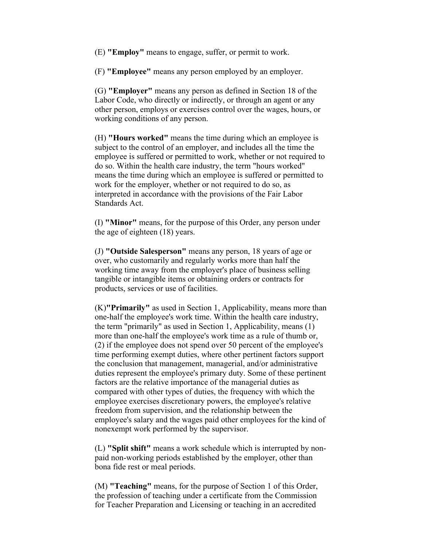(E) **"Employ"** means to engage, suffer, or permit to work.

(F) **"Employee"** means any person employed by an employer.

(G) **"Employer"** means any person as defined in Section 18 of the Labor Code, who directly or indirectly, or through an agent or any other person, employs or exercises control over the wages, hours, or working conditions of any person.

(H) **"Hours worked"** means the time during which an employee is subject to the control of an employer, and includes all the time the employee is suffered or permitted to work, whether or not required to do so. Within the health care industry, the term "hours worked" means the time during which an employee is suffered or permitted to work for the employer, whether or not required to do so, as interpreted in accordance with the provisions of the Fair Labor Standards Act.

(I) **"Minor"** means, for the purpose of this Order, any person under the age of eighteen (18) years.

(J) **"Outside Salesperson"** means any person, 18 years of age or over, who customarily and regularly works more than half the working time away from the employer's place of business selling tangible or intangible items or obtaining orders or contracts for products, services or use of facilities.

(K)**"Primarily"** as used in Section 1, Applicability, means more than one-half the employee's work time. Within the health care industry, the term "primarily" as used in Section 1, Applicability, means (1) more than one-half the employee's work time as a rule of thumb or, (2) if the employee does not spend over 50 percent of the employee's time performing exempt duties, where other pertinent factors support the conclusion that management, managerial, and/or administrative duties represent the employee's primary duty. Some of these pertinent factors are the relative importance of the managerial duties as compared with other types of duties, the frequency with which the employee exercises discretionary powers, the employee's relative freedom from supervision, and the relationship between the employee's salary and the wages paid other employees for the kind of nonexempt work performed by the supervisor.

(L) **"Split shift"** means a work schedule which is interrupted by nonpaid non-working periods established by the employer, other than bona fide rest or meal periods.

(M) **"Teaching"** means, for the purpose of Section 1 of this Order, the profession of teaching under a certificate from the Commission for Teacher Preparation and Licensing or teaching in an accredited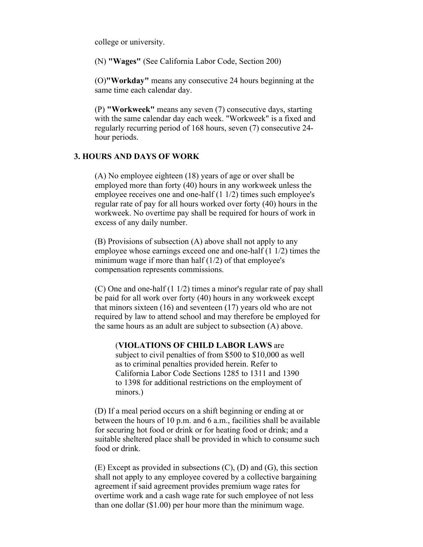college or university.

(N) **"Wages"** (See California Labor Code, Section 200)

(O)**"Workday"** means any consecutive 24 hours beginning at the same time each calendar day.

(P) **"Workweek"** means any seven (7) consecutive days, starting with the same calendar day each week. "Workweek" is a fixed and regularly recurring period of 168 hours, seven (7) consecutive 24 hour periods.

## **3. HOURS AND DAYS OF WORK**

(A) No employee eighteen (18) years of age or over shall be employed more than forty (40) hours in any workweek unless the employee receives one and one-half (1 1/2) times such employee's regular rate of pay for all hours worked over forty (40) hours in the workweek. No overtime pay shall be required for hours of work in excess of any daily number.

(B) Provisions of subsection (A) above shall not apply to any employee whose earnings exceed one and one-half (1 1/2) times the minimum wage if more than half  $(1/2)$  of that employee's compensation represents commissions.

(C) One and one-half (1 1/2) times a minor's regular rate of pay shall be paid for all work over forty (40) hours in any workweek except that minors sixteen (16) and seventeen (17) years old who are not required by law to attend school and may therefore be employed for the same hours as an adult are subject to subsection (A) above.

(**VIOLATIONS OF CHILD LABOR LAWS** are subject to civil penalties of from \$500 to \$10,000 as well as to criminal penalties provided herein. Refer to California Labor Code Sections 1285 to 1311 and 1390 to 1398 for additional restrictions on the employment of minors.)

(D) If a meal period occurs on a shift beginning or ending at or between the hours of 10 p.m. and 6 a.m., facilities shall be available for securing hot food or drink or for heating food or drink; and a suitable sheltered place shall be provided in which to consume such food or drink.

(E) Except as provided in subsections (C), (D) and (G), this section shall not apply to any employee covered by a collective bargaining agreement if said agreement provides premium wage rates for overtime work and a cash wage rate for such employee of not less than one dollar (\$1.00) per hour more than the minimum wage.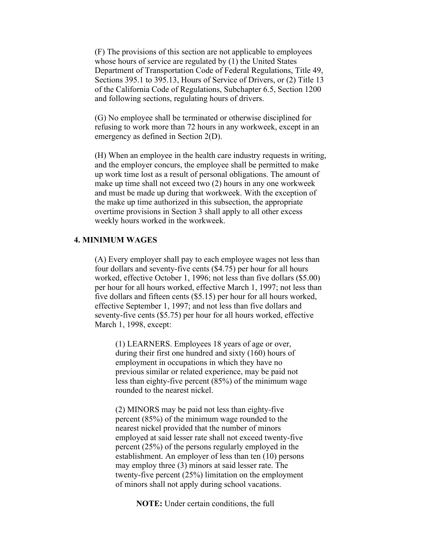(F) The provisions of this section are not applicable to employees whose hours of service are regulated by (1) the United States Department of Transportation Code of Federal Regulations, Title 49, Sections 395.1 to 395.13, Hours of Service of Drivers, or (2) Title 13 of the California Code of Regulations, Subchapter 6.5, Section 1200 and following sections, regulating hours of drivers.

(G) No employee shall be terminated or otherwise disciplined for refusing to work more than 72 hours in any workweek, except in an emergency as defined in Section 2(D).

(H) When an employee in the health care industry requests in writing, and the employer concurs, the employee shall be permitted to make up work time lost as a result of personal obligations. The amount of make up time shall not exceed two (2) hours in any one workweek and must be made up during that workweek. With the exception of the make up time authorized in this subsection, the appropriate overtime provisions in Section 3 shall apply to all other excess weekly hours worked in the workweek.

## **4. MINIMUM WAGES**

(A) Every employer shall pay to each employee wages not less than four dollars and seventy-five cents (\$4.75) per hour for all hours worked, effective October 1, 1996; not less than five dollars (\$5.00) per hour for all hours worked, effective March 1, 1997; not less than five dollars and fifteen cents (\$5.15) per hour for all hours worked, effective September 1, 1997; and not less than five dollars and seventy-five cents (\$5.75) per hour for all hours worked, effective March 1, 1998, except:

(1) LEARNERS. Employees 18 years of age or over, during their first one hundred and sixty (160) hours of employment in occupations in which they have no previous similar or related experience, may be paid not less than eighty-five percent (85%) of the minimum wage rounded to the nearest nickel.

(2) MINORS may be paid not less than eighty-five percent (85%) of the minimum wage rounded to the nearest nickel provided that the number of minors employed at said lesser rate shall not exceed twenty-five percent (25%) of the persons regularly employed in the establishment. An employer of less than ten (10) persons may employ three (3) minors at said lesser rate. The twenty-five percent (25%) limitation on the employment of minors shall not apply during school vacations.

**NOTE:** Under certain conditions, the full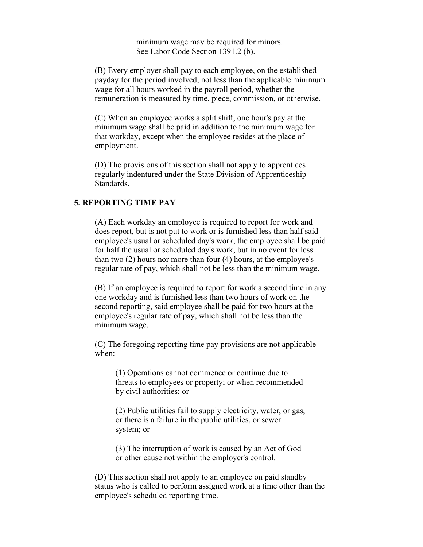minimum wage may be required for minors. See Labor Code Section 1391.2 (b).

(B) Every employer shall pay to each employee, on the established payday for the period involved, not less than the applicable minimum wage for all hours worked in the payroll period, whether the remuneration is measured by time, piece, commission, or otherwise.

(C) When an employee works a split shift, one hour's pay at the minimum wage shall be paid in addition to the minimum wage for that workday, except when the employee resides at the place of employment.

(D) The provisions of this section shall not apply to apprentices regularly indentured under the State Division of Apprenticeship Standards.

## **5. REPORTING TIME PAY**

(A) Each workday an employee is required to report for work and does report, but is not put to work or is furnished less than half said employee's usual or scheduled day's work, the employee shall be paid for half the usual or scheduled day's work, but in no event for less than two (2) hours nor more than four (4) hours, at the employee's regular rate of pay, which shall not be less than the minimum wage.

(B) If an employee is required to report for work a second time in any one workday and is furnished less than two hours of work on the second reporting, said employee shall be paid for two hours at the employee's regular rate of pay, which shall not be less than the minimum wage.

(C) The foregoing reporting time pay provisions are not applicable when:

(1) Operations cannot commence or continue due to threats to employees or property; or when recommended by civil authorities; or

(2) Public utilities fail to supply electricity, water, or gas, or there is a failure in the public utilities, or sewer system; or

(3) The interruption of work is caused by an Act of God or other cause not within the employer's control.

(D) This section shall not apply to an employee on paid standby status who is called to perform assigned work at a time other than the employee's scheduled reporting time.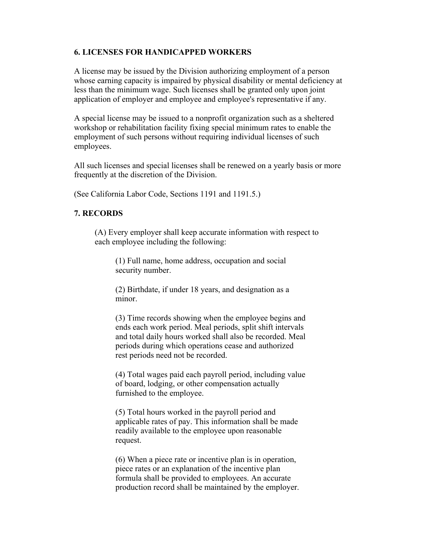# **6. LICENSES FOR HANDICAPPED WORKERS**

A license may be issued by the Division authorizing employment of a person whose earning capacity is impaired by physical disability or mental deficiency at less than the minimum wage. Such licenses shall be granted only upon joint application of employer and employee and employee's representative if any.

A special license may be issued to a nonprofit organization such as a sheltered workshop or rehabilitation facility fixing special minimum rates to enable the employment of such persons without requiring individual licenses of such employees.

All such licenses and special licenses shall be renewed on a yearly basis or more frequently at the discretion of the Division.

(See California Labor Code, Sections 1191 and 1191.5.)

## **7. RECORDS**

(A) Every employer shall keep accurate information with respect to each employee including the following:

(1) Full name, home address, occupation and social security number.

(2) Birthdate, if under 18 years, and designation as a minor.

(3) Time records showing when the employee begins and ends each work period. Meal periods, split shift intervals and total daily hours worked shall also be recorded. Meal periods during which operations cease and authorized rest periods need not be recorded.

(4) Total wages paid each payroll period, including value of board, lodging, or other compensation actually furnished to the employee.

(5) Total hours worked in the payroll period and applicable rates of pay. This information shall be made readily available to the employee upon reasonable request.

(6) When a piece rate or incentive plan is in operation, piece rates or an explanation of the incentive plan formula shall be provided to employees. An accurate production record shall be maintained by the employer.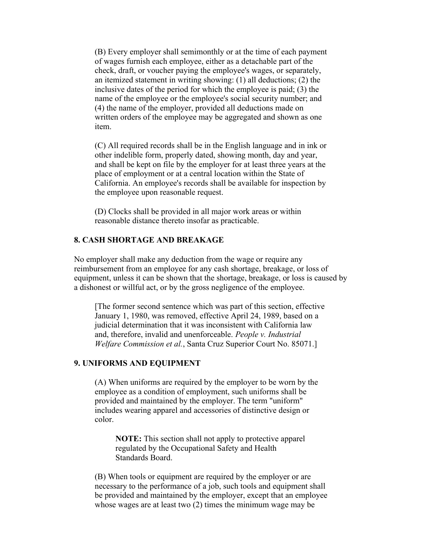(B) Every employer shall semimonthly or at the time of each payment of wages furnish each employee, either as a detachable part of the check, draft, or voucher paying the employee's wages, or separately, an itemized statement in writing showing: (1) all deductions; (2) the inclusive dates of the period for which the employee is paid; (3) the name of the employee or the employee's social security number; and (4) the name of the employer, provided all deductions made on written orders of the employee may be aggregated and shown as one item.

(C) All required records shall be in the English language and in ink or other indelible form, properly dated, showing month, day and year, and shall be kept on file by the employer for at least three years at the place of employment or at a central location within the State of California. An employee's records shall be available for inspection by the employee upon reasonable request.

(D) Clocks shall be provided in all major work areas or within reasonable distance thereto insofar as practicable.

## **8. CASH SHORTAGE AND BREAKAGE**

No employer shall make any deduction from the wage or require any reimbursement from an employee for any cash shortage, breakage, or loss of equipment, unless it can be shown that the shortage, breakage, or loss is caused by a dishonest or willful act, or by the gross negligence of the employee.

[The former second sentence which was part of this section, effective January 1, 1980, was removed, effective April 24, 1989, based on a judicial determination that it was inconsistent with California law and, therefore, invalid and unenforceable. *People v. Industrial Welfare Commission et al.*, Santa Cruz Superior Court No. 85071.]

## **9. UNIFORMS AND EQUIPMENT**

(A) When uniforms are required by the employer to be worn by the employee as a condition of employment, such uniforms shall be provided and maintained by the employer. The term "uniform" includes wearing apparel and accessories of distinctive design or color.

**NOTE:** This section shall not apply to protective apparel regulated by the Occupational Safety and Health Standards Board.

(B) When tools or equipment are required by the employer or are necessary to the performance of a job, such tools and equipment shall be provided and maintained by the employer, except that an employee whose wages are at least two (2) times the minimum wage may be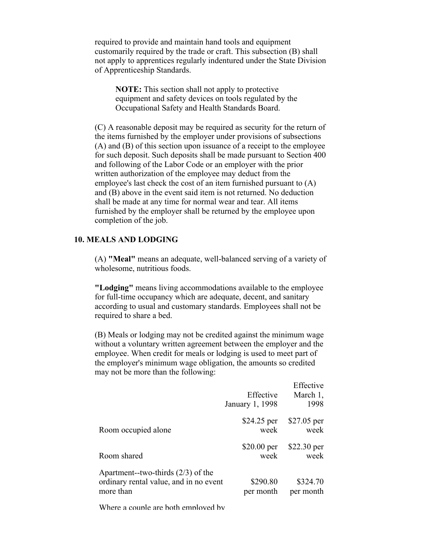required to provide and maintain hand tools and equipment customarily required by the trade or craft. This subsection (B) shall not apply to apprentices regularly indentured under the State Division of Apprenticeship Standards.

**NOTE:** This section shall not apply to protective equipment and safety devices on tools regulated by the Occupational Safety and Health Standards Board.

(C) A reasonable deposit may be required as security for the return of the items furnished by the employer under provisions of subsections (A) and (B) of this section upon issuance of a receipt to the employee for such deposit. Such deposits shall be made pursuant to Section 400 and following of the Labor Code or an employer with the prior written authorization of the employee may deduct from the employee's last check the cost of an item furnished pursuant to (A) and (B) above in the event said item is not returned. No deduction shall be made at any time for normal wear and tear. All items furnished by the employer shall be returned by the employee upon completion of the job.

# **10. MEALS AND LODGING**

(A) **"Meal"** means an adequate, well-balanced serving of a variety of wholesome, nutritious foods.

**"Lodging"** means living accommodations available to the employee for full-time occupancy which are adequate, decent, and sanitary according to usual and customary standards. Employees shall not be required to share a bed.

(B) Meals or lodging may not be credited against the minimum wage without a voluntary written agreement between the employer and the employee. When credit for meals or lodging is used to meet part of the employer's minimum wage obligation, the amounts so credited may not be more than the following:

|                                                                                             | Effective<br>January 1, 1998 | Effective<br>March 1,<br>1998 |
|---------------------------------------------------------------------------------------------|------------------------------|-------------------------------|
| Room occupied alone                                                                         | \$24.25 per<br>week          | $$27.05$ per<br>week          |
| Room shared                                                                                 | $$20.00$ per<br>week         | $$22.30$ per<br>week          |
| Apartment--two-thirds $(2/3)$ of the<br>ordinary rental value, and in no event<br>more than | \$290.80<br>per month        | \$324.70<br>per month         |

Where a couple are both employed by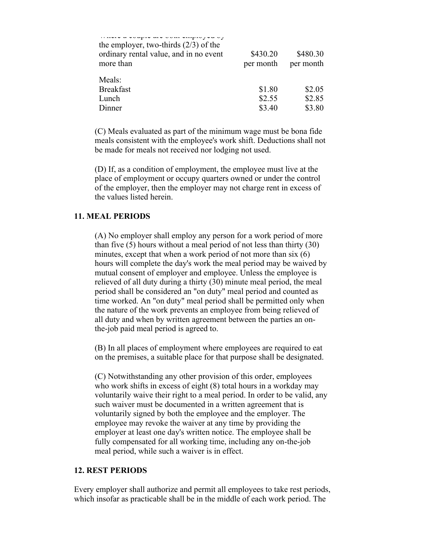| There we would now open employee of<br>the employer, two-thirds $(2/3)$ of the<br>ordinary rental value, and in no event<br>more than | \$430.20<br>per month      | \$480.30<br>per month      |
|---------------------------------------------------------------------------------------------------------------------------------------|----------------------------|----------------------------|
| Meals:<br><b>Breakfast</b><br>Lunch<br>Dinner                                                                                         | \$1.80<br>\$2.55<br>\$3.40 | \$2.05<br>\$2.85<br>\$3.80 |

(C) Meals evaluated as part of the minimum wage must be bona fide meals consistent with the employee's work shift. Deductions shall not be made for meals not received nor lodging not used.

(D) If, as a condition of employment, the employee must live at the place of employment or occupy quarters owned or under the control of the employer, then the employer may not charge rent in excess of the values listed herein.

# **11. MEAL PERIODS**

(A) No employer shall employ any person for a work period of more than five (5) hours without a meal period of not less than thirty (30) minutes, except that when a work period of not more than six (6) hours will complete the day's work the meal period may be waived by mutual consent of employer and employee. Unless the employee is relieved of all duty during a thirty (30) minute meal period, the meal period shall be considered an "on duty" meal period and counted as time worked. An "on duty" meal period shall be permitted only when the nature of the work prevents an employee from being relieved of all duty and when by written agreement between the parties an onthe-job paid meal period is agreed to.

(B) In all places of employment where employees are required to eat on the premises, a suitable place for that purpose shall be designated.

(C) Notwithstanding any other provision of this order, employees who work shifts in excess of eight  $(8)$  total hours in a workday may voluntarily waive their right to a meal period. In order to be valid, any such waiver must be documented in a written agreement that is voluntarily signed by both the employee and the employer. The employee may revoke the waiver at any time by providing the employer at least one day's written notice. The employee shall be fully compensated for all working time, including any on-the-job meal period, while such a waiver is in effect.

#### **12. REST PERIODS**

Every employer shall authorize and permit all employees to take rest periods, which insofar as practicable shall be in the middle of each work period. The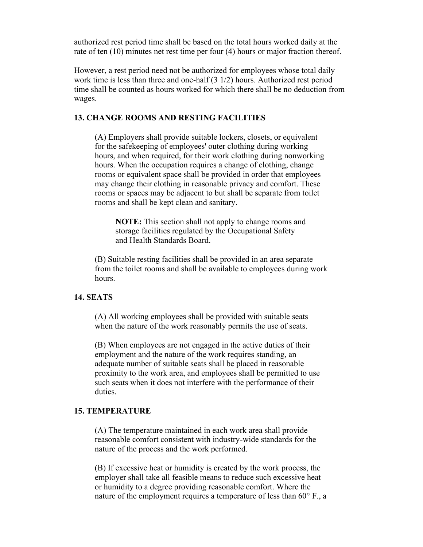authorized rest period time shall be based on the total hours worked daily at the rate of ten (10) minutes net rest time per four (4) hours or major fraction thereof.

However, a rest period need not be authorized for employees whose total daily work time is less than three and one-half (3 1/2) hours. Authorized rest period time shall be counted as hours worked for which there shall be no deduction from wages.

# **13. CHANGE ROOMS AND RESTING FACILITIES**

(A) Employers shall provide suitable lockers, closets, or equivalent for the safekeeping of employees' outer clothing during working hours, and when required, for their work clothing during nonworking hours. When the occupation requires a change of clothing, change rooms or equivalent space shall be provided in order that employees may change their clothing in reasonable privacy and comfort. These rooms or spaces may be adjacent to but shall be separate from toilet rooms and shall be kept clean and sanitary.

**NOTE:** This section shall not apply to change rooms and storage facilities regulated by the Occupational Safety and Health Standards Board.

(B) Suitable resting facilities shall be provided in an area separate from the toilet rooms and shall be available to employees during work hours.

## **14. SEATS**

(A) All working employees shall be provided with suitable seats when the nature of the work reasonably permits the use of seats.

(B) When employees are not engaged in the active duties of their employment and the nature of the work requires standing, an adequate number of suitable seats shall be placed in reasonable proximity to the work area, and employees shall be permitted to use such seats when it does not interfere with the performance of their duties.

# **15. TEMPERATURE**

(A) The temperature maintained in each work area shall provide reasonable comfort consistent with industry-wide standards for the nature of the process and the work performed.

(B) If excessive heat or humidity is created by the work process, the employer shall take all feasible means to reduce such excessive heat or humidity to a degree providing reasonable comfort. Where the nature of the employment requires a temperature of less than 60° F., a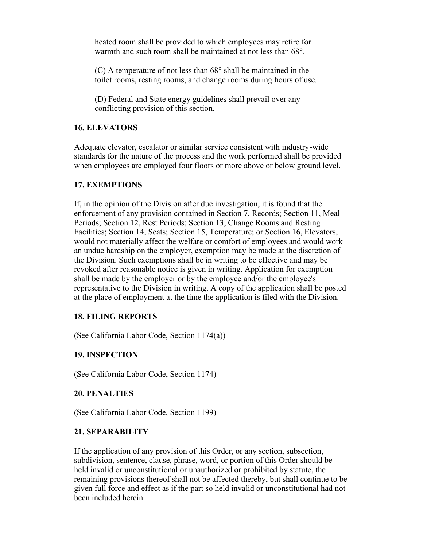heated room shall be provided to which employees may retire for warmth and such room shall be maintained at not less than 68°.

(C) A temperature of not less than 68° shall be maintained in the toilet rooms, resting rooms, and change rooms during hours of use.

(D) Federal and State energy guidelines shall prevail over any conflicting provision of this section.

# **16. ELEVATORS**

Adequate elevator, escalator or similar service consistent with industry-wide standards for the nature of the process and the work performed shall be provided when employees are employed four floors or more above or below ground level.

# **17. EXEMPTIONS**

If, in the opinion of the Division after due investigation, it is found that the enforcement of any provision contained in Section 7, Records; Section 11, Meal Periods; Section 12, Rest Periods; Section 13, Change Rooms and Resting Facilities; Section 14, Seats; Section 15, Temperature; or Section 16, Elevators, would not materially affect the welfare or comfort of employees and would work an undue hardship on the employer, exemption may be made at the discretion of the Division. Such exemptions shall be in writing to be effective and may be revoked after reasonable notice is given in writing. Application for exemption shall be made by the employer or by the employee and/or the employee's representative to the Division in writing. A copy of the application shall be posted at the place of employment at the time the application is filed with the Division.

# **18. FILING REPORTS**

(See California Labor Code, Section 1174(a))

# **19. INSPECTION**

(See California Labor Code, Section 1174)

## **20. PENALTIES**

(See California Labor Code, Section 1199)

## **21. SEPARABILITY**

If the application of any provision of this Order, or any section, subsection, subdivision, sentence, clause, phrase, word, or portion of this Order should be held invalid or unconstitutional or unauthorized or prohibited by statute, the remaining provisions thereof shall not be affected thereby, but shall continue to be given full force and effect as if the part so held invalid or unconstitutional had not been included herein.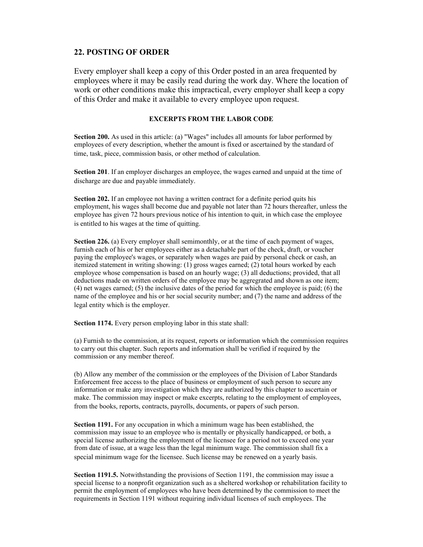#### **22. POSTING OF ORDER**

Every employer shall keep a copy of this Order posted in an area frequented by employees where it may be easily read during the work day. Where the location of work or other conditions make this impractical, every employer shall keep a copy of this Order and make it available to every employee upon request.

#### **EXCERPTS FROM THE LABOR CODE**

**Section 200.** As used in this article: (a) "Wages" includes all amounts for labor performed by employees of every description, whether the amount is fixed or ascertained by the standard of time, task, piece, commission basis, or other method of calculation.

**Section 201**. If an employer discharges an employee, the wages earned and unpaid at the time of discharge are due and payable immediately.

**Section 202.** If an employee not having a written contract for a definite period quits his employment, his wages shall become due and payable not later than 72 hours thereafter, unless the employee has given 72 hours previous notice of his intention to quit, in which case the employee is entitled to his wages at the time of quitting.

**Section 226.** (a) Every employer shall semimonthly, or at the time of each payment of wages, furnish each of his or her employees either as a detachable part of the check, draft, or voucher paying the employee's wages, or separately when wages are paid by personal check or cash, an itemized statement in writing showing: (1) gross wages earned; (2) total hours worked by each employee whose compensation is based on an hourly wage; (3) all deductions; provided, that all deductions made on written orders of the employee may be aggregrated and shown as one item; (4) net wages earned; (5) the inclusive dates of the period for which the employee is paid; (6) the name of the employee and his or her social security number; and (7) the name and address of the legal entity which is the employer.

**Section 1174.** Every person employing labor in this state shall:

(a) Furnish to the commission, at its request, reports or information which the commission requires to carry out this chapter. Such reports and information shall be verified if required by the commission or any member thereof.

(b) Allow any member of the commission or the employees of the Division of Labor Standards Enforcement free access to the place of business or employment of such person to secure any information or make any investigation which they are authorized by this chapter to ascertain or make. The commission may inspect or make excerpts, relating to the employment of employees, from the books, reports, contracts, payrolls, documents, or papers of such person.

**Section 1191.** For any occupation in which a minimum wage has been established, the commission may issue to an employee who is mentally or physically handicapped, or both, a special license authorizing the employment of the licensee for a period not to exceed one year from date of issue, at a wage less than the legal minimum wage. The commission shall fix a special minimum wage for the licensee. Such license may be renewed on a yearly basis.

**Section 1191.5.** Notwithstanding the provisions of Section 1191, the commission may issue a special license to a nonprofit organization such as a sheltered workshop or rehabilitation facility to permit the employment of employees who have been determined by the commission to meet the requirements in Section 1191 without requiring individual licenses of such employees. The